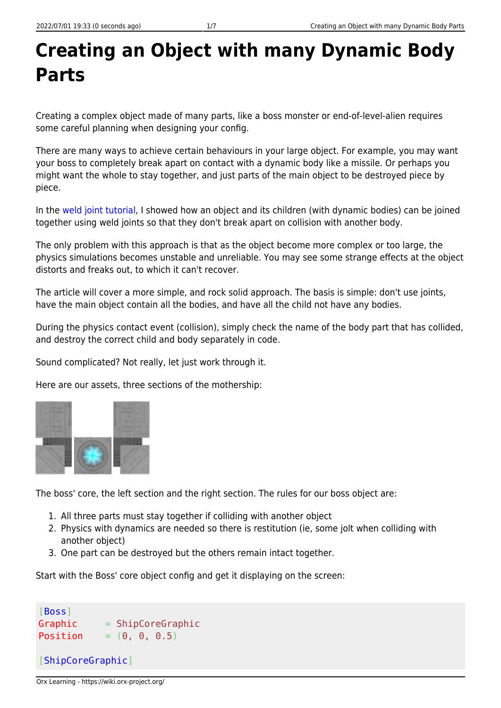## **Creating an Object with many Dynamic Body Parts**

Creating a complex object made of many parts, like a boss monster or end-of-level-alien requires some careful planning when designing your config.

There are many ways to achieve certain behaviours in your large object. For example, you may want your boss to completely break apart on contact with a dynamic body like a missile. Or perhaps you might want the whole to stay together, and just parts of the main object to be destroyed piece by piece.

In the [weld joint tutorial](https://wiki.orx-project.org/en/tutorials/physics/weld_joint_on_objects_with_bodies), I showed how an object and its children (with dynamic bodies) can be joined together using weld joints so that they don't break apart on collision with another body.

The only problem with this approach is that as the object become more complex or too large, the physics simulations becomes unstable and unreliable. You may see some strange effects at the object distorts and freaks out, to which it can't recover.

The article will cover a more simple, and rock solid approach. The basis is simple: don't use joints, have the main object contain all the bodies, and have all the child not have any bodies.

During the physics contact event (collision), simply check the name of the body part that has collided, and destroy the correct child and body separately in code.

Sound complicated? Not really, let just work through it.

Here are our assets, three sections of the mothership:



The boss' core, the left section and the right section. The rules for our boss object are:

- 1. All three parts must stay together if colliding with another object
- 2. Physics with dynamics are needed so there is restitution (ie, some jolt when colliding with another object)
- 3. One part can be destroyed but the others remain intact together.

Start with the Boss' core object config and get it displaying on the screen:

```
[Boss]
Graphic = ShipCoreGraphic
Position = (0, 0, 0.5)[ShipCoreGraphic]
```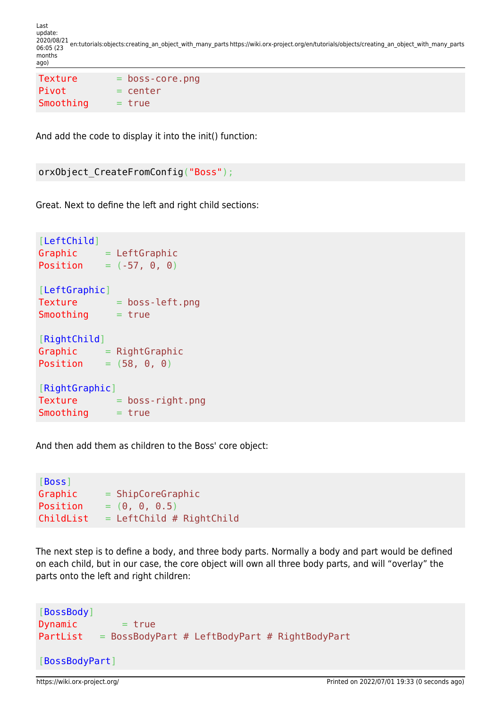Last update: 2020/08/21 06:05 (23 en:tutorials:objects:creating\_an\_object\_with\_many\_parts https://wiki.orx-project.org/en/tutorials/objects/creating\_an\_object\_with\_many\_parts months ago)

```
Texture = boss-core.png
Pivot = centerSmoothing = true
```
And add the code to display it into the init() function:

```
orxObject CreateFromConfig("Boss");
```
Great. Next to define the left and right child sections:

```
[LeftChild]
Graphic = LeftGraphicPosition = (-57, 0, 0)[LeftGraphic]
Texture = boss-left.pngSmoothing = true[RightChild]
Graphic = RightGraphicPosition = (58, 0, 0)[RightGraphic]
Texture = boss-riaht.pngSmoothing = true
```
And then add them as children to the Boss' core object:

```
[Boss]
Graphic = ShipCoreGraphic
Position = (0, 0, 0.5)ChildList = LeftChild # RightChild
```
The next step is to define a body, and three body parts. Normally a body and part would be defined on each child, but in our case, the core object will own all three body parts, and will "overlay" the parts onto the left and right children:

```
[BossBody]
Dynamic = true
PartList = BossBodyPart # LeftBodyPart # RightBodyPart
[BossBodyPart]
```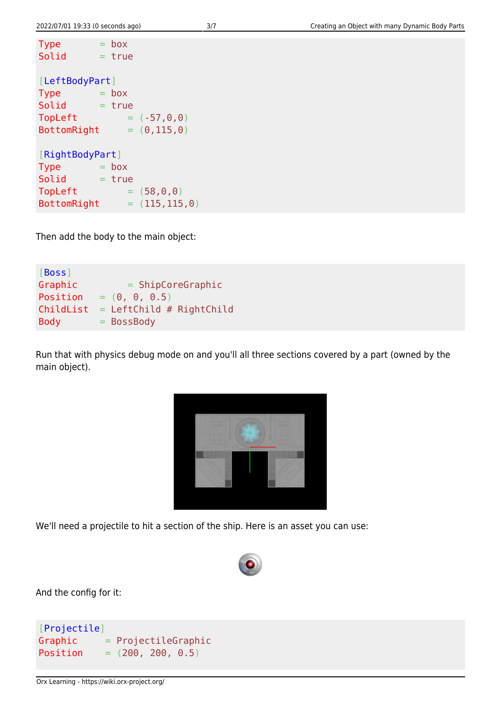```
Type = boxSolid = true[LeftBodyPart]
Type = box
Solid = trueTopLeft = (-57, 0, 0)BottomRight = (0, 115, 0)[RightBodyPart]
Type = boxSolid = trueTopLeft = (58, 0, 0)BottomRight = (115, 115, 0)
```
Then add the body to the main object:

```
[Boss]
Graphic = ShipCoreGraphic
Position = (0, 0, 0.5)ChildList = LeftChild # RightChildBody = BossBody
```
Run that with physics debug mode on and you'll all three sections covered by a part (owned by the main object).

| ____<br>351<br>lee<br>٠<br>◢<br>$\sim$<br><b>COLOR</b><br>$\overline{\phantom{a}}$<br>____<br>٠<br>٠<br>٠<br>٠<br>٠                 |  |
|-------------------------------------------------------------------------------------------------------------------------------------|--|
|                                                                                                                                     |  |
| ٠<br><br>٠<br>٠<br>m.<br>٠<br>$\overline{\phantom{a}}$<br>--<br>$-1$<br>- -<br>٠                                                    |  |
| <b>Contract of the Contract of the Contract of The Contract of The Contract of The Contract of The Contract of T</b><br>۰<br>۰<br>۰ |  |
| -                                                                                                                                   |  |

We'll need a projectile to hit a section of the ship. Here is an asset you can use:



And the config for it:

```
[Projectile]
Graphic = ProjectileGraphic
Position = (200, 200, 0.5)
```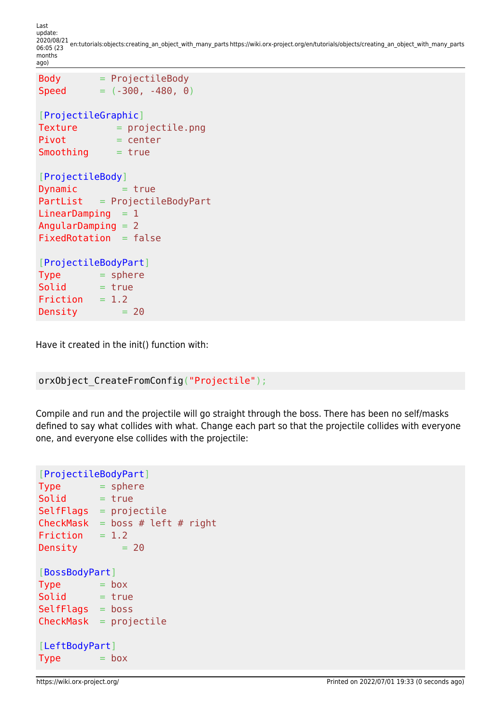Last update: 2020/08/21 06:05 (23 en:tutorials:objects:creating\_an\_object\_with\_many\_parts https://wiki.orx-project.org/en/tutorials/objects/creating\_an\_object\_with\_many\_parts months ago)

```
Body = ProjectileBody
Speed = (-300, -480, 0)[ProjectileGraphic]
Texture = projectile.png
Pivot = centerSmoothing = true[ProjectileBody]
Dynamic = true
PartList = ProjectileBodyPart
LinearDamping = 1AngularDamping = 2
FixedRotation = false[ProjectileBodyPart]
Type = sphere
Solid = trueFriction = 1.2Density = 20
```
Have it created in the init() function with:

```
orxObject_CreateFromConfig("Projectile");
```
Compile and run and the projectile will go straight through the boss. There has been no self/masks defined to say what collides with what. Change each part so that the projectile collides with everyone one, and everyone else collides with the projectile:

```
[ProjectileBodyPart]
Type = sphere
Solid = trueSelfFlags = projectileCheckMask = boss # left # right
Friction = 1.2Density = 20[BossBodyPart]
Type = boxSolid = trueSelfFlags = boss
CheckMask = projectile[LeftBodyPart]
Type = box
```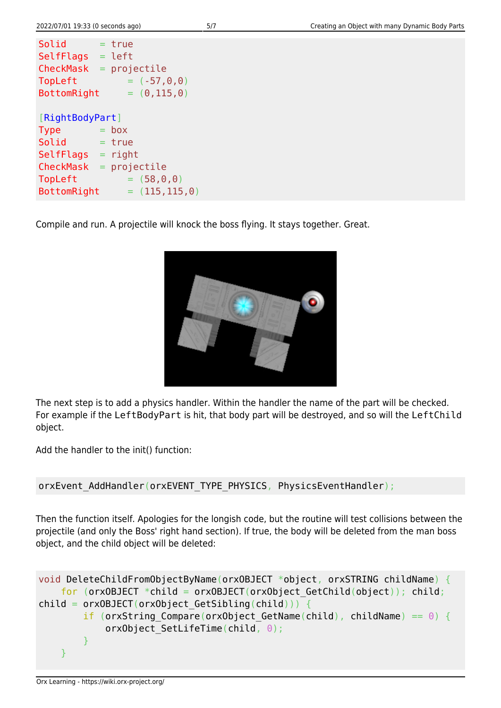Compile and run. A projectile will knock the boss flying. It stays together. Great.



The next step is to add a physics handler. Within the handler the name of the part will be checked. For example if the LeftBodyPart is hit, that body part will be destroyed, and so will the LeftChild object.

Add the handler to the init() function:

```
orxEvent AddHandler(orxEVENT_TYPE_PHYSICS, PhysicsEventHandler);
```
Then the function itself. Apologies for the longish code, but the routine will test collisions between the projectile (and only the Boss' right hand section). If true, the body will be deleted from the man boss object, and the child object will be deleted:

```
void DeleteChildFromObjectByName(orxOBJECT *object, orxSTRING childName) {
    for (orxOBJECT *child = orxOBJECT(orxObject GetChild(object)); child;
child = orx0BJECT(orx0bject GetSibling(child))) {
        if (orxString Compare(orxObject GetName(child), childName) == 0) {
            orxObject SetLifeTime(child, \theta);
 }
     }
```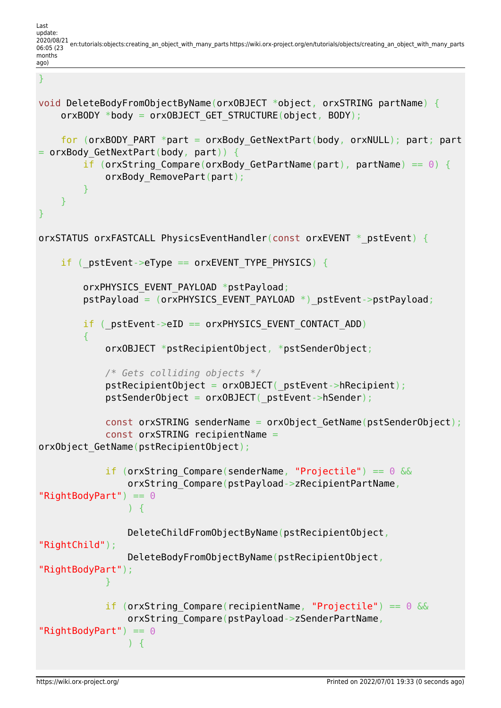Last update: 2020/08/21 06:05 (23 en:tutorials:objects:creating\_an\_object\_with\_many\_parts https://wiki.orx-project.org/en/tutorials/objects/creating\_an\_object\_with\_many\_parts months ago)

```
}
```

```
void DeleteBodyFromObjectByName(orxOBJECT *object, orxSTRING partName) {
     orxBODY *body = orxOBJECT_GET_STRUCTURE(object, BODY);
    for (orxBODY PART *part = orxBody GetNextPart(body, orxNULL); part; part
= orxBody GetNextPart(body, part)) {
        if (orxString Compare(orxBody GetPartName(part), partName) == 0) {
             orxBody_RemovePart(part);
 }
    }
}
orxSTATUS orxFASTCALL PhysicsEventHandler(const orxEVENT * pstEvent) {
   if ( pstEvent->eType == orxEVENT TYPE PHYSICS) {
        orxPHYSICS EVENT PAYLOAD *pstPayload;
        pstPayload = (orxPHYSICS EVENT PAYLOAD *) pstEvent->pstPayload;
        if ( pstEvent->eID == orxPHYSICS EVENT CONTACT ADD)
 {
             orxOBJECT *pstRecipientObject, *pstSenderObject;
             /* Gets colliding objects */
            pstRecipientObject = orxOBJECT( pstEvent->hRecipient);
             pstSenderObject = orxOBJECT(_pstEvent->hSender);
            const orxSTRING senderName = orxObject GetName(pstSenderObject);
             const orxSTRING recipientName =
orxObject GetName(pstRecipientObject);
             if (orxString_Compare(senderName, "Projectile") == 0 &&
                 orxString_Compare(pstPayload->zRecipientPartName,
"RightBodyPart") == 0) {
                 DeleteChildFromObjectByName(pstRecipientObject,
"RightChild");
                 DeleteBodyFromObjectByName(pstRecipientObject,
"RightBodyPart");
 }
            if (orxString Compare(recipientName, "Projectile") == 0 \& orxString_Compare(pstPayload->zSenderPartName,
"RightBodyPart") == 0) {
```